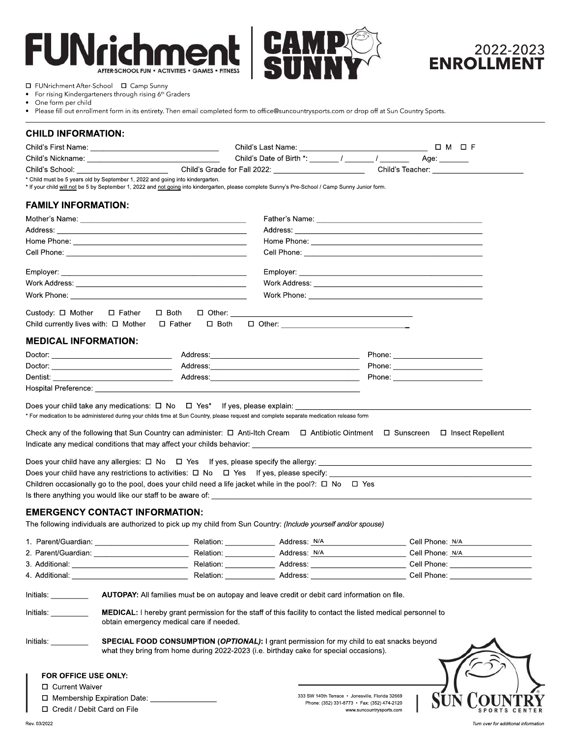#### Fl  $\mathbf{I}$ **ACTIVITIES · GAMES · FITNESS AFTER-SCHOOL FUN .**





 $\Box$  FUNrichment After-School  $\Box$  Camp Sunny<br>• For rising Kindergarteners through rising 6<sup>th</sup> C

- For rising Kindergarteners through rising  $6<sup>th</sup>$  Graders
- One form per child<br>• Please fill out enroll
- Please fill out enrollment form in its entirety. Then email completed form to office@suncountrysports.com or drop off at Sun Country Sports.

# **CHILD INFORMATION:**

|                                          |                                                                               |                |                                                                                                                                                                                                              |                                                  |  | 0 M 0 F      |                                                                                                                       |
|------------------------------------------|-------------------------------------------------------------------------------|----------------|--------------------------------------------------------------------------------------------------------------------------------------------------------------------------------------------------------------|--------------------------------------------------|--|--------------|-----------------------------------------------------------------------------------------------------------------------|
|                                          |                                                                               |                | Child's Date of Birth *: $\frac{1}{2}$ / $\frac{1}{2}$ / $\frac{1}{2}$                                                                                                                                       |                                                  |  | Age: _______ |                                                                                                                       |
|                                          | Child's Grade for Fall 2022: __________________________                       |                | Child's Teacher: _____________                                                                                                                                                                               |                                                  |  |              |                                                                                                                       |
|                                          | * Child must be 5 years old by September 1, 2022 and going into kindergarten. |                | * If your child will not be 5 by September 1, 2022 and not going into kindergarten, please complete Sunny's Pre-School / Camp Sunny Junior form.                                                             |                                                  |  |              |                                                                                                                       |
|                                          |                                                                               |                |                                                                                                                                                                                                              |                                                  |  |              |                                                                                                                       |
| <b>FAMILY INFORMATION:</b>               |                                                                               |                |                                                                                                                                                                                                              |                                                  |  |              |                                                                                                                       |
|                                          |                                                                               |                |                                                                                                                                                                                                              |                                                  |  |              |                                                                                                                       |
|                                          |                                                                               |                |                                                                                                                                                                                                              |                                                  |  |              |                                                                                                                       |
|                                          |                                                                               |                |                                                                                                                                                                                                              |                                                  |  |              |                                                                                                                       |
|                                          |                                                                               |                |                                                                                                                                                                                                              |                                                  |  |              |                                                                                                                       |
|                                          |                                                                               |                |                                                                                                                                                                                                              |                                                  |  |              |                                                                                                                       |
|                                          |                                                                               |                |                                                                                                                                                                                                              |                                                  |  |              |                                                                                                                       |
|                                          |                                                                               |                |                                                                                                                                                                                                              |                                                  |  |              |                                                                                                                       |
| Custody: □ Mother                        | $\square$ Father                                                              | $\square$ Both |                                                                                                                                                                                                              |                                                  |  |              |                                                                                                                       |
|                                          | Child currently lives with: $\Box$ Mother $\Box$ Father                       | $\square$ Both |                                                                                                                                                                                                              |                                                  |  |              |                                                                                                                       |
|                                          |                                                                               |                |                                                                                                                                                                                                              |                                                  |  |              |                                                                                                                       |
| <b>MEDICAL INFORMATION:</b>              |                                                                               |                |                                                                                                                                                                                                              |                                                  |  |              |                                                                                                                       |
|                                          |                                                                               |                |                                                                                                                                                                                                              |                                                  |  |              |                                                                                                                       |
|                                          |                                                                               |                |                                                                                                                                                                                                              |                                                  |  |              |                                                                                                                       |
|                                          |                                                                               |                |                                                                                                                                                                                                              |                                                  |  |              |                                                                                                                       |
|                                          |                                                                               |                |                                                                                                                                                                                                              |                                                  |  |              |                                                                                                                       |
|                                          |                                                                               |                |                                                                                                                                                                                                              |                                                  |  |              |                                                                                                                       |
|                                          |                                                                               |                | * For medication to be administered during your childs time at Sun Country, please request and complete separate medication release form                                                                     |                                                  |  |              |                                                                                                                       |
|                                          |                                                                               |                | Does your child have any restrictions to activities: $\Box$ No $\Box$ Yes If yes, please specify:<br>Children occasionally go to the pool, does your child need a life jacket while in the pool?: □ No □ Yes |                                                  |  |              |                                                                                                                       |
|                                          |                                                                               |                |                                                                                                                                                                                                              |                                                  |  |              |                                                                                                                       |
|                                          | <b>EMERGENCY CONTACT INFORMATION:</b>                                         |                |                                                                                                                                                                                                              |                                                  |  |              |                                                                                                                       |
|                                          |                                                                               |                | The following individuals are authorized to pick up my child from Sun Country: (Include yourself and/or spouse)                                                                                              |                                                  |  |              |                                                                                                                       |
|                                          |                                                                               |                |                                                                                                                                                                                                              |                                                  |  |              |                                                                                                                       |
|                                          |                                                                               |                |                                                                                                                                                                                                              |                                                  |  |              | <u> 1986 - Jan Stein Harry Stein Harry Stein Harry Stein Harry Stein Harry Stein Harry Stein Harry Stein Harry St</u> |
| 3. Additional:                           |                                                                               |                | Relation: ________________ Address: ______________________________ Cell Phone: _____________________                                                                                                         |                                                  |  |              |                                                                                                                       |
| 4. Additional: <b>Allants</b> Additional |                                                                               |                | Relation: Address: Cell Phone:                                                                                                                                                                               |                                                  |  |              |                                                                                                                       |
| Initials: <b>Alice 1999</b>              |                                                                               |                | AUTOPAY: All families must be on autopay and leave credit or debit card information on file.                                                                                                                 |                                                  |  |              |                                                                                                                       |
| Initials:                                | obtain emergency medical care if needed.                                      |                | <b>MEDICAL:</b> I hereby grant permission for the staff of this facility to contact the listed medical personnel to                                                                                          |                                                  |  |              |                                                                                                                       |
| Initials: <b>Alice Structure</b>         |                                                                               |                | SPECIAL FOOD CONSUMPTION (OPTIONAL): I grant permission for my child to eat snacks beyond                                                                                                                    |                                                  |  |              |                                                                                                                       |
|                                          |                                                                               |                | what they bring from home during 2022-2023 (i.e. birthday cake for special occasions).                                                                                                                       |                                                  |  |              |                                                                                                                       |
|                                          |                                                                               |                |                                                                                                                                                                                                              |                                                  |  |              |                                                                                                                       |
| FOR OFFICE USE ONLY:                     |                                                                               |                |                                                                                                                                                                                                              |                                                  |  |              |                                                                                                                       |
| □ Current Waiver                         |                                                                               |                |                                                                                                                                                                                                              | 333 SW 140th Terrace · Jonesville, Florida 32669 |  |              |                                                                                                                       |
|                                          | $\Box$ Membership Expiration Date:                                            |                |                                                                                                                                                                                                              | Phone: (352) 331-8773 • Fax: (352) 474-2120      |  |              | <b>SUN COUNTRY</b>                                                                                                    |

□ Credit / Debit Card on File

333SW 140thTerrace•Jonesville,Florida32669 Phone:(352)331-8773•Fax:(352)474-2120 www.suncountrysports.com